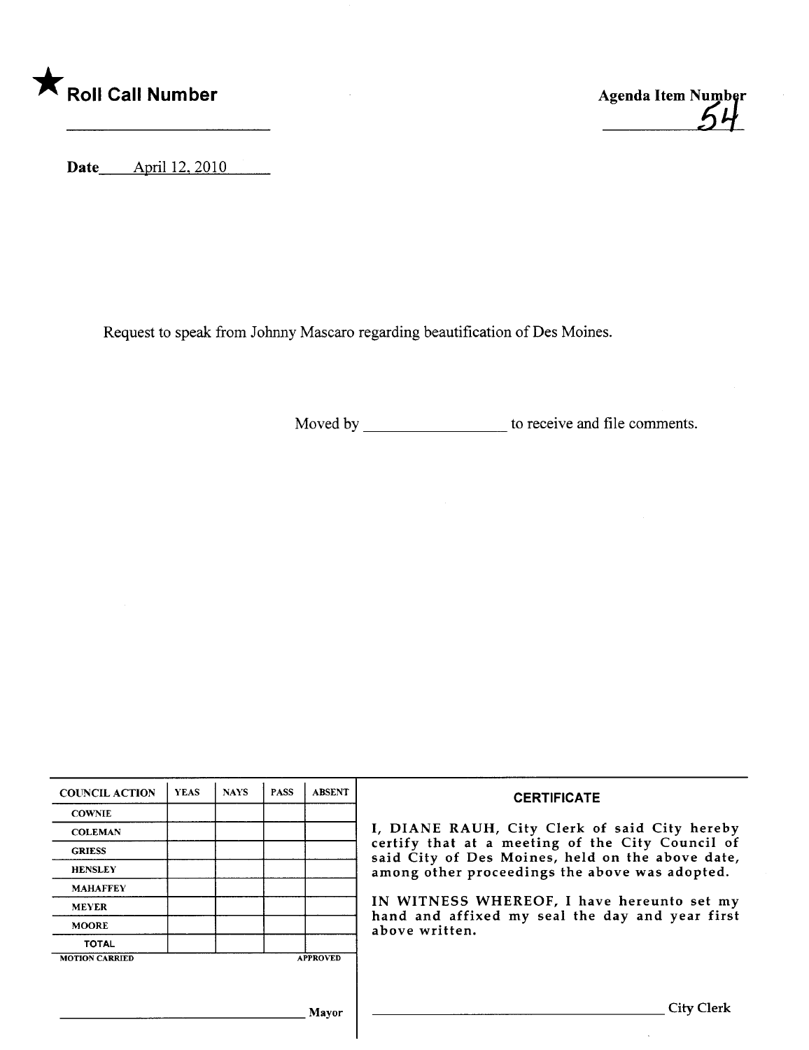



 $\hat{\mathcal{A}}$ 

Date April 12, 2010

Request to speak from Johny Mascaro regarding beautification of Des Moines.

Moved by \_\_\_\_\_\_\_\_\_\_\_\_\_\_\_\_\_\_\_\_\_\_ to receive and file comments.

| <b>COUNCIL ACTION</b>                    | <b>YEAS</b> | <b>NAYS</b> | <b>PASS</b> | <b>ABSENT</b> | <b>CERTIFICATE</b>                                                                                                                                                                                                                                                                                                         |
|------------------------------------------|-------------|-------------|-------------|---------------|----------------------------------------------------------------------------------------------------------------------------------------------------------------------------------------------------------------------------------------------------------------------------------------------------------------------------|
| <b>COWNIE</b>                            |             |             |             |               | I, DIANE RAUH, City Clerk of said City hereby<br>certify that at a meeting of the City Council of<br>said City of Des Moines, held on the above date,<br>among other proceedings the above was adopted.<br>IN WITNESS WHEREOF, I have hereunto set my<br>hand and affixed my seal the day and year first<br>above written. |
| <b>COLEMAN</b>                           |             |             |             |               |                                                                                                                                                                                                                                                                                                                            |
| <b>GRIESS</b>                            |             |             |             |               |                                                                                                                                                                                                                                                                                                                            |
| <b>HENSLEY</b>                           |             |             |             |               |                                                                                                                                                                                                                                                                                                                            |
| <b>MAHAFFEY</b>                          |             |             |             |               |                                                                                                                                                                                                                                                                                                                            |
| <b>MEYER</b>                             |             |             |             |               |                                                                                                                                                                                                                                                                                                                            |
| <b>MOORE</b>                             |             |             |             |               |                                                                                                                                                                                                                                                                                                                            |
| <b>TOTAL</b>                             |             |             |             |               |                                                                                                                                                                                                                                                                                                                            |
| <b>APPROVED</b><br><b>MOTION CARRIED</b> |             |             |             |               |                                                                                                                                                                                                                                                                                                                            |
|                                          |             |             |             |               |                                                                                                                                                                                                                                                                                                                            |
|                                          |             |             |             |               |                                                                                                                                                                                                                                                                                                                            |
| Mavor                                    |             |             |             |               | City Clerk                                                                                                                                                                                                                                                                                                                 |